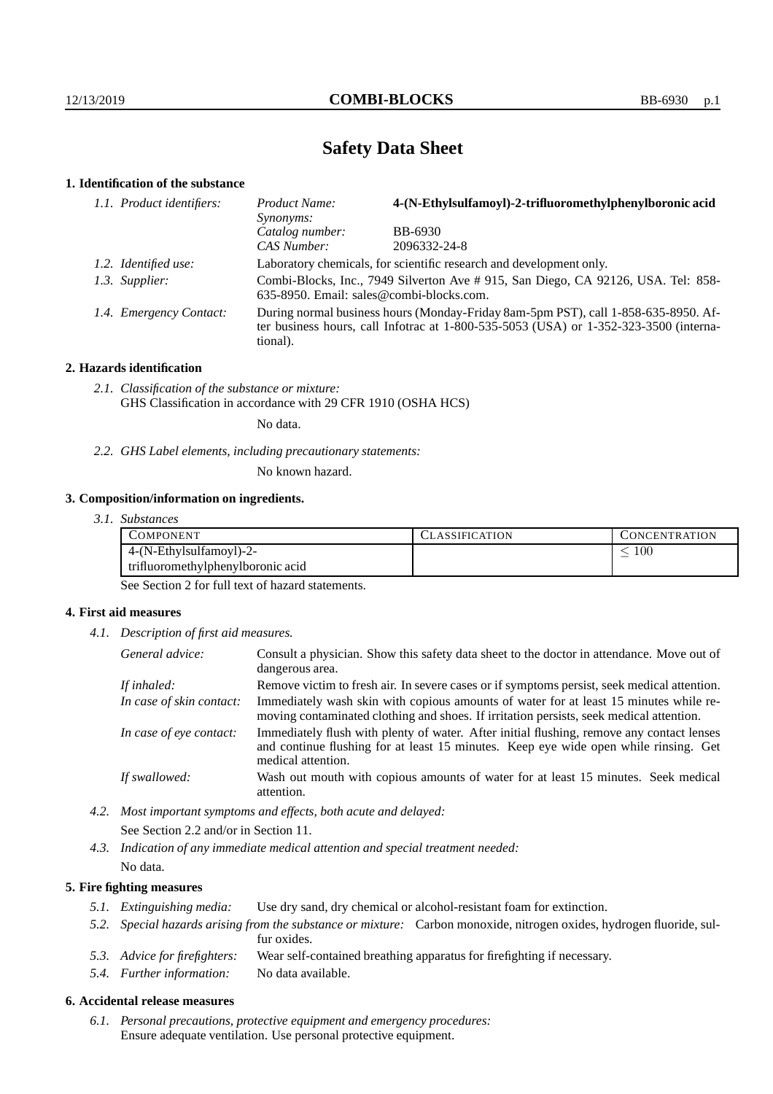# **Safety Data Sheet**

## **1. Identification of the substance**

| 1.1. Product identifiers: | Product Name:<br>Synonyms:               | 4-(N-Ethylsulfamoyl)-2-trifluoromethylphenylboronic acid                                                                                                                        |
|---------------------------|------------------------------------------|---------------------------------------------------------------------------------------------------------------------------------------------------------------------------------|
|                           | Catalog number:                          | <b>BB-6930</b>                                                                                                                                                                  |
|                           | CAS Number:                              | 2096332-24-8                                                                                                                                                                    |
| 1.2. Identified use:      |                                          | Laboratory chemicals, for scientific research and development only.                                                                                                             |
| 1.3. Supplier:            | 635-8950. Email: sales@combi-blocks.com. | Combi-Blocks, Inc., 7949 Silverton Ave # 915, San Diego, CA 92126, USA. Tel: 858-                                                                                               |
| 1.4. Emergency Contact:   | tional).                                 | During normal business hours (Monday-Friday 8am-5pm PST), call 1-858-635-8950. Af-<br>ter business hours, call Infotrac at $1-800-535-5053$ (USA) or $1-352-323-3500$ (interna- |

### **2. Hazards identification**

*2.1. Classification of the substance or mixture:* GHS Classification in accordance with 29 CFR 1910 (OSHA HCS)

No data.

*2.2. GHS Label elements, including precautionary statements:*

No known hazard.

#### **3. Composition/information on ingredients.**

*3.1. Substances*

| COMPONENT                         | 'LASSIFICATION | CONCENTRATION. |
|-----------------------------------|----------------|----------------|
| 4-(N-Ethylsulfamoyl)-2-           |                | 100            |
| trifluoromethylphenylboronic acid |                |                |

See Section 2 for full text of hazard statements.

#### **4. First aid measures**

*4.1. Description of first aid measures.*

| General advice:          | Consult a physician. Show this safety data sheet to the doctor in attendance. Move out of<br>dangerous area.                                                                                            |
|--------------------------|---------------------------------------------------------------------------------------------------------------------------------------------------------------------------------------------------------|
| If inhaled:              | Remove victim to fresh air. In severe cases or if symptoms persist, seek medical attention.                                                                                                             |
| In case of skin contact: | Immediately wash skin with copious amounts of water for at least 15 minutes while re-<br>moving contaminated clothing and shoes. If irritation persists, seek medical attention.                        |
| In case of eye contact:  | Immediately flush with plenty of water. After initial flushing, remove any contact lenses<br>and continue flushing for at least 15 minutes. Keep eye wide open while rinsing. Get<br>medical attention. |
| If swallowed:            | Wash out mouth with copious amounts of water for at least 15 minutes. Seek medical<br>attention.                                                                                                        |

*4.2. Most important symptoms and effects, both acute and delayed:*

See Section 2.2 and/or in Section 11.

*4.3. Indication of any immediate medical attention and special treatment needed:* No data.

### **5. Fire fighting measures**

- *5.1. Extinguishing media:* Use dry sand, dry chemical or alcohol-resistant foam for extinction.
- *5.2. Special hazards arising from the substance or mixture:* Carbon monoxide, nitrogen oxides, hydrogen fluoride, sulfur oxides.
- *5.3. Advice for firefighters:* Wear self-contained breathing apparatus for firefighting if necessary.
- *5.4. Further information:* No data available.

## **6. Accidental release measures**

*6.1. Personal precautions, protective equipment and emergency procedures:* Ensure adequate ventilation. Use personal protective equipment.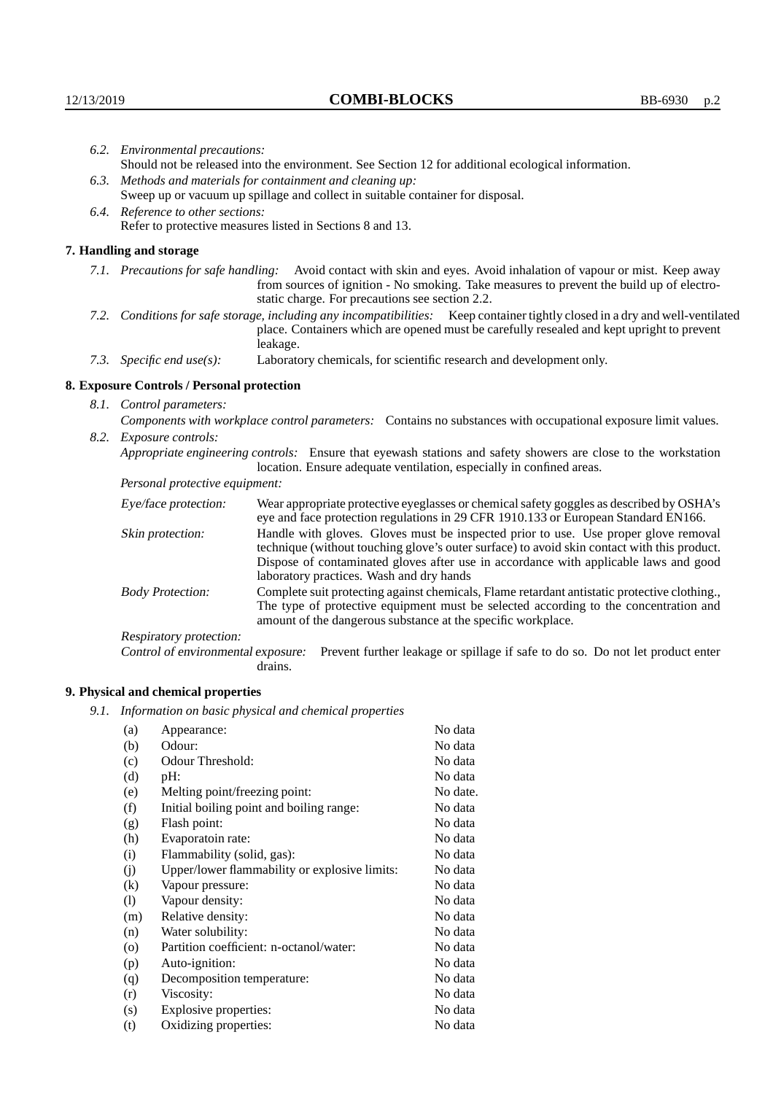|                                                           | 6.2. Environmental precautions:                                                |                                                                                                                                                                                                                                                                                                                        |  |  |  |  |
|-----------------------------------------------------------|--------------------------------------------------------------------------------|------------------------------------------------------------------------------------------------------------------------------------------------------------------------------------------------------------------------------------------------------------------------------------------------------------------------|--|--|--|--|
|                                                           |                                                                                | Should not be released into the environment. See Section 12 for additional ecological information.                                                                                                                                                                                                                     |  |  |  |  |
|                                                           | 6.3. Methods and materials for containment and cleaning up:                    |                                                                                                                                                                                                                                                                                                                        |  |  |  |  |
|                                                           | Sweep up or vacuum up spillage and collect in suitable container for disposal. |                                                                                                                                                                                                                                                                                                                        |  |  |  |  |
|                                                           | 6.4. Reference to other sections:                                              |                                                                                                                                                                                                                                                                                                                        |  |  |  |  |
| Refer to protective measures listed in Sections 8 and 13. |                                                                                |                                                                                                                                                                                                                                                                                                                        |  |  |  |  |
|                                                           | 7. Handling and storage                                                        |                                                                                                                                                                                                                                                                                                                        |  |  |  |  |
|                                                           |                                                                                | 7.1. Precautions for safe handling: Avoid contact with skin and eyes. Avoid inhalation of vapour or mist. Keep away<br>from sources of ignition - No smoking. Take measures to prevent the build up of electro-<br>static charge. For precautions see section 2.2.                                                     |  |  |  |  |
|                                                           |                                                                                | 7.2. Conditions for safe storage, including any incompatibilities: Keep container tightly closed in a dry and well-ventilated<br>place. Containers which are opened must be carefully resealed and kept upright to prevent<br>leakage.                                                                                 |  |  |  |  |
|                                                           | 7.3. Specific end use(s):                                                      | Laboratory chemicals, for scientific research and development only.                                                                                                                                                                                                                                                    |  |  |  |  |
|                                                           | 8. Exposure Controls / Personal protection                                     |                                                                                                                                                                                                                                                                                                                        |  |  |  |  |
|                                                           | 8.1. Control parameters:                                                       |                                                                                                                                                                                                                                                                                                                        |  |  |  |  |
|                                                           |                                                                                | Components with workplace control parameters: Contains no substances with occupational exposure limit values.                                                                                                                                                                                                          |  |  |  |  |
|                                                           | 8.2. Exposure controls:                                                        |                                                                                                                                                                                                                                                                                                                        |  |  |  |  |
|                                                           |                                                                                | Appropriate engineering controls: Ensure that eyewash stations and safety showers are close to the workstation<br>location. Ensure adequate ventilation, especially in confined areas.                                                                                                                                 |  |  |  |  |
|                                                           | Personal protective equipment:                                                 |                                                                                                                                                                                                                                                                                                                        |  |  |  |  |
|                                                           | Eye/face protection:                                                           | Wear appropriate protective eyeglasses or chemical safety goggles as described by OSHA's<br>eye and face protection regulations in 29 CFR 1910.133 or European Standard EN166.                                                                                                                                         |  |  |  |  |
|                                                           | Skin protection:                                                               | Handle with gloves. Gloves must be inspected prior to use. Use proper glove removal<br>technique (without touching glove's outer surface) to avoid skin contact with this product.<br>Dispose of contaminated gloves after use in accordance with applicable laws and good<br>laboratory practices. Wash and dry hands |  |  |  |  |
|                                                           | <b>Body Protection:</b>                                                        | Complete suit protecting against chemicals, Flame retardant antistatic protective clothing.,<br>The type of protective equipment must be selected according to the concentration and<br>amount of the dangerous substance at the specific workplace.                                                                   |  |  |  |  |
|                                                           | Respiratory protection:                                                        |                                                                                                                                                                                                                                                                                                                        |  |  |  |  |

Respiratory protection:

Control of environmental exposure: Prevent further leakage or spillage if safe to do so. Do not let product enter drains.

# **9. Physical and chemical properties**

*9.1. Information on basic physical and chemical properties*

| Appearance:                                   | No data  |
|-----------------------------------------------|----------|
| Odour:                                        | No data  |
| Odour Threshold:                              | No data  |
| pH:                                           | No data  |
| Melting point/freezing point:                 | No date. |
| Initial boiling point and boiling range:      | No data  |
| Flash point:                                  | No data  |
| Evaporatoin rate:                             | No data  |
| Flammability (solid, gas):                    | No data  |
| Upper/lower flammability or explosive limits: | No data  |
| Vapour pressure:                              | No data  |
| Vapour density:                               | No data  |
| Relative density:                             | No data  |
| Water solubility:                             | No data  |
| Partition coefficient: n-octanol/water:       | No data  |
| Auto-ignition:                                | No data  |
| Decomposition temperature:                    | No data  |
| Viscosity:                                    | No data  |
| Explosive properties:                         | No data  |
| Oxidizing properties:                         | No data  |
|                                               |          |